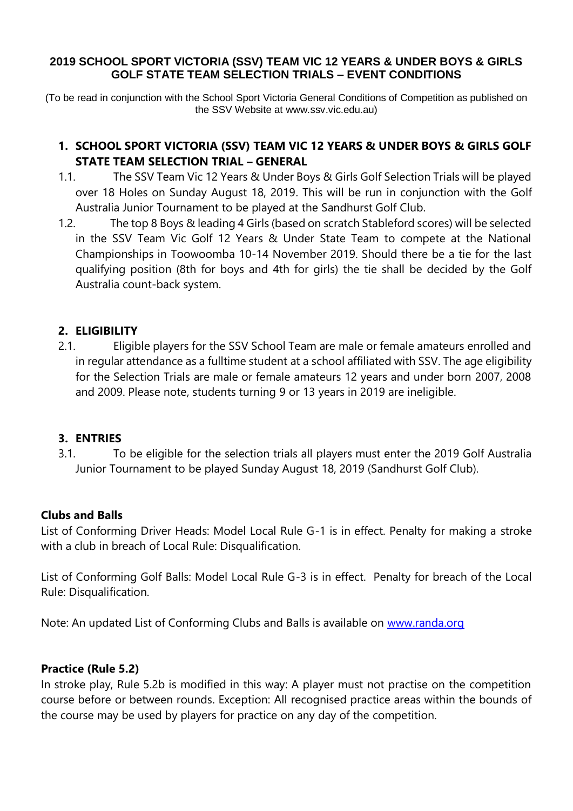#### **2019 SCHOOL SPORT VICTORIA (SSV) TEAM VIC 12 YEARS & UNDER BOYS & GIRLS GOLF STATE TEAM SELECTION TRIALS – EVENT CONDITIONS**

(To be read in conjunction with the School Sport Victoria General Conditions of Competition as published on the SSV Website at www.ssv.vic.edu.au)

# **1. SCHOOL SPORT VICTORIA (SSV) TEAM VIC 12 YEARS & UNDER BOYS & GIRLS GOLF STATE TEAM SELECTION TRIAL – GENERAL**

- 1.1. The SSV Team Vic 12 Years & Under Boys & Girls Golf Selection Trials will be played over 18 Holes on Sunday August 18, 2019. This will be run in conjunction with the Golf Australia Junior Tournament to be played at the Sandhurst Golf Club.
- 1.2. The top 8 Boys & leading 4 Girls (based on scratch Stableford scores) will be selected in the SSV Team Vic Golf 12 Years & Under State Team to compete at the National Championships in Toowoomba 10-14 November 2019. Should there be a tie for the last qualifying position (8th for boys and 4th for girls) the tie shall be decided by the Golf Australia count-back system.

## **2. ELIGIBILITY**

2.1. Eligible players for the SSV School Team are male or female amateurs enrolled and in regular attendance as a fulltime student at a school affiliated with SSV. The age eligibility for the Selection Trials are male or female amateurs 12 years and under born 2007, 2008 and 2009. Please note, students turning 9 or 13 years in 2019 are ineligible.

#### **3. ENTRIES**

3.1. To be eligible for the selection trials all players must enter the 2019 Golf Australia Junior Tournament to be played Sunday August 18, 2019 (Sandhurst Golf Club).

#### **Clubs and Balls**

List of Conforming Driver Heads: Model Local Rule G-1 is in effect. Penalty for making a stroke with a club in breach of Local Rule: Disqualification.

List of Conforming Golf Balls: Model Local Rule G-3 is in effect. Penalty for breach of the Local Rule: Disqualification.

Note: An updated List of Conforming Clubs and Balls is available on [www.randa.org](http://www.randa.org/)

#### **Practice (Rule 5.2)**

In stroke play, Rule 5.2b is modified in this way: A player must not practise on the competition course before or between rounds. Exception: All recognised practice areas within the bounds of the course may be used by players for practice on any day of the competition.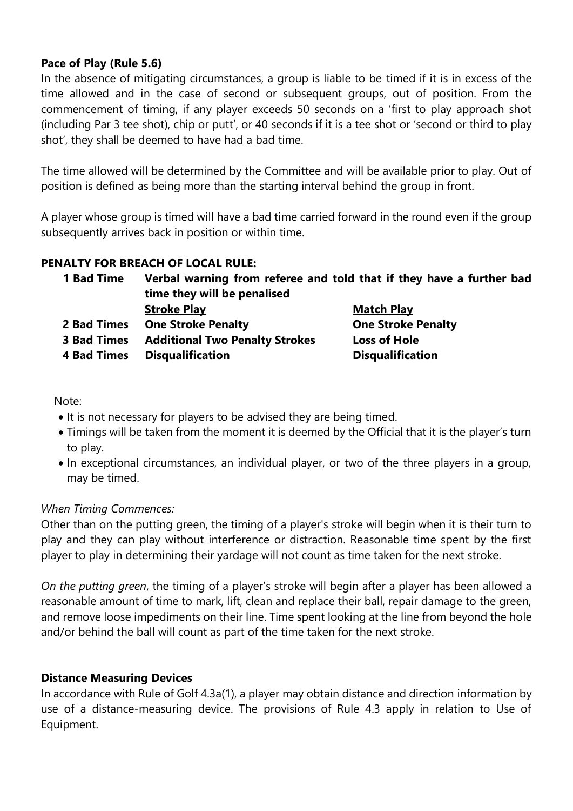### **Pace of Play (Rule 5.6)**

In the absence of mitigating circumstances, a group is liable to be timed if it is in excess of the time allowed and in the case of second or subsequent groups, out of position. From the commencement of timing, if any player exceeds 50 seconds on a 'first to play approach shot (including Par 3 tee shot), chip or putt', or 40 seconds if it is a tee shot or 'second or third to play shot', they shall be deemed to have had a bad time.

The time allowed will be determined by the Committee and will be available prior to play. Out of position is defined as being more than the starting interval behind the group in front.

A player whose group is timed will have a bad time carried forward in the round even if the group subsequently arrives back in position or within time.

#### **PENALTY FOR BREACH OF LOCAL RULE:**

| <b>1 Bad Time</b>  | Verbal warning from referee and told that if they have a further bad<br>time they will be penalised |                           |
|--------------------|-----------------------------------------------------------------------------------------------------|---------------------------|
|                    |                                                                                                     |                           |
|                    | 2 Bad Times                                                                                         | <b>One Stroke Penalty</b> |
| <b>3 Bad Times</b> | <b>Additional Two Penalty Strokes</b>                                                               | <b>Loss of Hole</b>       |
| <b>4 Bad Times</b> | <b>Disqualification</b>                                                                             | <b>Disqualification</b>   |

Note:

- It is not necessary for players to be advised they are being timed.
- Timings will be taken from the moment it is deemed by the Official that it is the player's turn to play.
- In exceptional circumstances, an individual player, or two of the three players in a group, may be timed.

#### *When Timing Commences:*

Other than on the putting green, the timing of a player's stroke will begin when it is their turn to play and they can play without interference or distraction. Reasonable time spent by the first player to play in determining their yardage will not count as time taken for the next stroke.

*On the putting green*, the timing of a player's stroke will begin after a player has been allowed a reasonable amount of time to mark, lift, clean and replace their ball, repair damage to the green, and remove loose impediments on their line. Time spent looking at the line from beyond the hole and/or behind the ball will count as part of the time taken for the next stroke.

#### **Distance Measuring Devices**

In accordance with Rule of Golf 4.3a(1), a player may obtain distance and direction information by use of a distance-measuring device. The provisions of Rule 4.3 apply in relation to Use of Equipment.